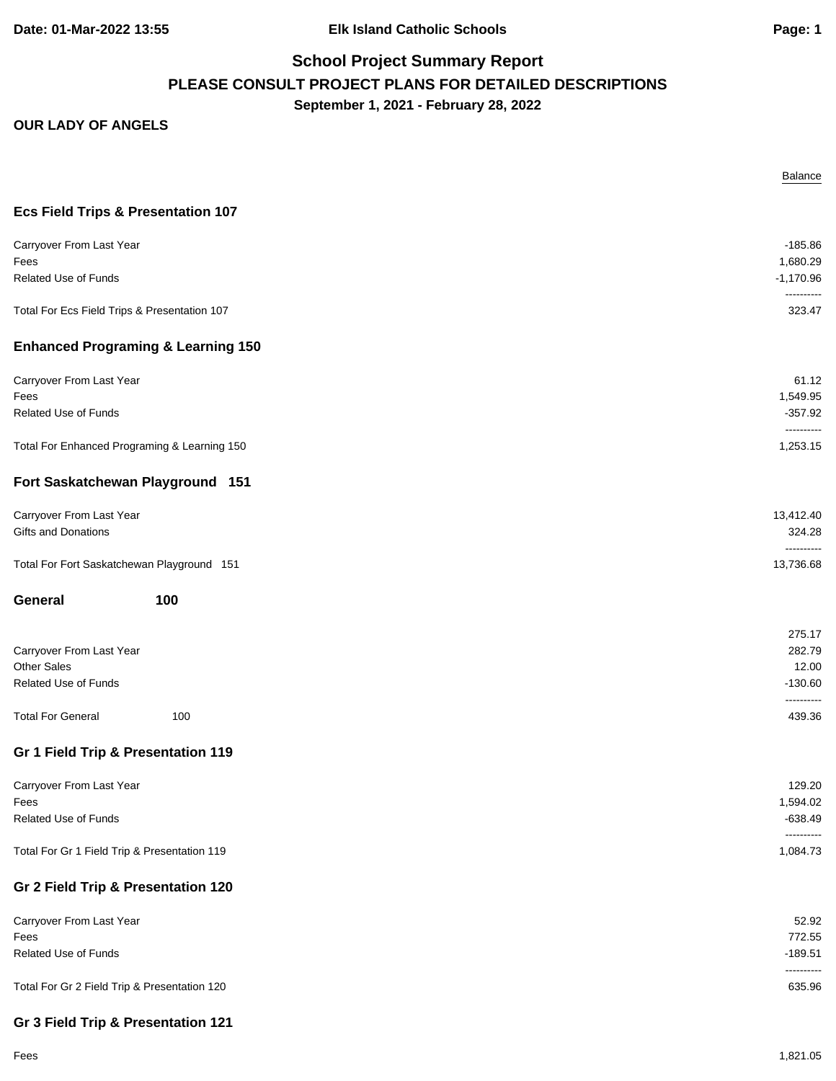|                                               | <b>Balance</b>          |
|-----------------------------------------------|-------------------------|
| <b>Ecs Field Trips &amp; Presentation 107</b> |                         |
| Carryover From Last Year                      | $-185.86$               |
| Fees<br><b>Related Use of Funds</b>           | 1,680.29<br>$-1,170.96$ |
| Total For Ecs Field Trips & Presentation 107  | ----------<br>323.47    |
| <b>Enhanced Programing &amp; Learning 150</b> |                         |
| Carryover From Last Year                      | 61.12                   |
| Fees                                          | 1,549.95                |
| Related Use of Funds                          | $-357.92$<br>---------- |
| Total For Enhanced Programing & Learning 150  | 1,253.15                |
| Fort Saskatchewan Playground 151              |                         |
| Carryover From Last Year                      | 13,412.40               |
| Gifts and Donations                           | 324.28<br>----------    |
| Total For Fort Saskatchewan Playground 151    | 13,736.68               |
| 100<br>General                                |                         |
|                                               | 275.17                  |
| Carryover From Last Year                      | 282.79                  |
| <b>Other Sales</b><br>Related Use of Funds    | 12.00<br>$-130.60$      |
| <b>Total For General</b><br>100               | ----------<br>439.36    |
| Gr 1 Field Trip & Presentation 119            |                         |
|                                               |                         |
| Carryover From Last Year<br>Fees              | 129.20<br>1,594.02      |
| Related Use of Funds                          | $-638.49$               |
| Total For Gr 1 Field Trip & Presentation 119  | ----------<br>1,084.73  |
| Gr 2 Field Trip & Presentation 120            |                         |
| Carryover From Last Year                      | 52.92                   |
| Fees                                          | 772.55                  |
| Related Use of Funds                          | $-189.51$<br>---------- |
| Total For Gr 2 Field Trip & Presentation 120  | 635.96                  |
| Gr 3 Field Trip & Presentation 121            |                         |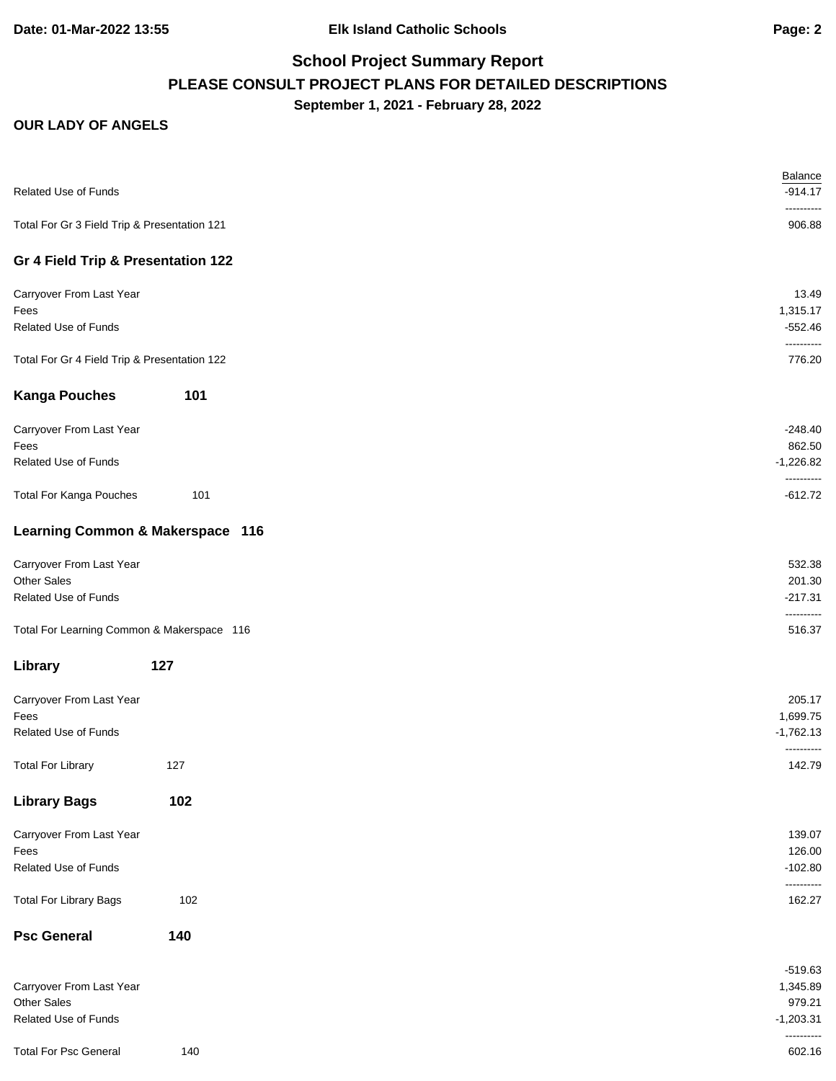| <b>Related Use of Funds</b>                  |     | Balance<br>$-914.17$<br>---------- |
|----------------------------------------------|-----|------------------------------------|
| Total For Gr 3 Field Trip & Presentation 121 |     | 906.88                             |
| Gr 4 Field Trip & Presentation 122           |     |                                    |
| Carryover From Last Year                     |     | 13.49                              |
| Fees                                         |     | 1,315.17                           |
| <b>Related Use of Funds</b>                  |     | $-552.46$<br>----------            |
| Total For Gr 4 Field Trip & Presentation 122 |     | 776.20                             |
| <b>Kanga Pouches</b>                         | 101 |                                    |
| Carryover From Last Year                     |     | $-248.40$                          |
| Fees                                         |     | 862.50                             |
| <b>Related Use of Funds</b>                  |     | $-1,226.82$<br>----------          |
| <b>Total For Kanga Pouches</b>               | 101 | $-612.72$                          |
| Learning Common & Makerspace 116             |     |                                    |
| Carryover From Last Year                     |     | 532.38                             |
| <b>Other Sales</b>                           |     | 201.30                             |
| Related Use of Funds                         |     | $-217.31$<br>----------            |
| Total For Learning Common & Makerspace 116   |     | 516.37                             |
| Library                                      | 127 |                                    |
| Carryover From Last Year                     |     | 205.17                             |
| Fees                                         |     | 1,699.75                           |
| Related Use of Funds                         |     | $-1,762.13$                        |
| <b>Total For Library</b>                     | 127 | ----------<br>142.79               |
| <b>Library Bags</b>                          | 102 |                                    |
| Carryover From Last Year                     |     | 139.07                             |
| Fees                                         |     | 126.00                             |
| Related Use of Funds                         |     | $-102.80$<br>----------            |
| <b>Total For Library Bags</b>                | 102 | 162.27                             |
| <b>Psc General</b>                           | 140 |                                    |
|                                              |     | $-519.63$                          |
| Carryover From Last Year                     |     | 1,345.89                           |
| Other Sales                                  |     | 979.21                             |
| Related Use of Funds                         |     | $-1,203.31$<br>----------          |
| <b>Total For Psc General</b>                 | 140 | 602.16                             |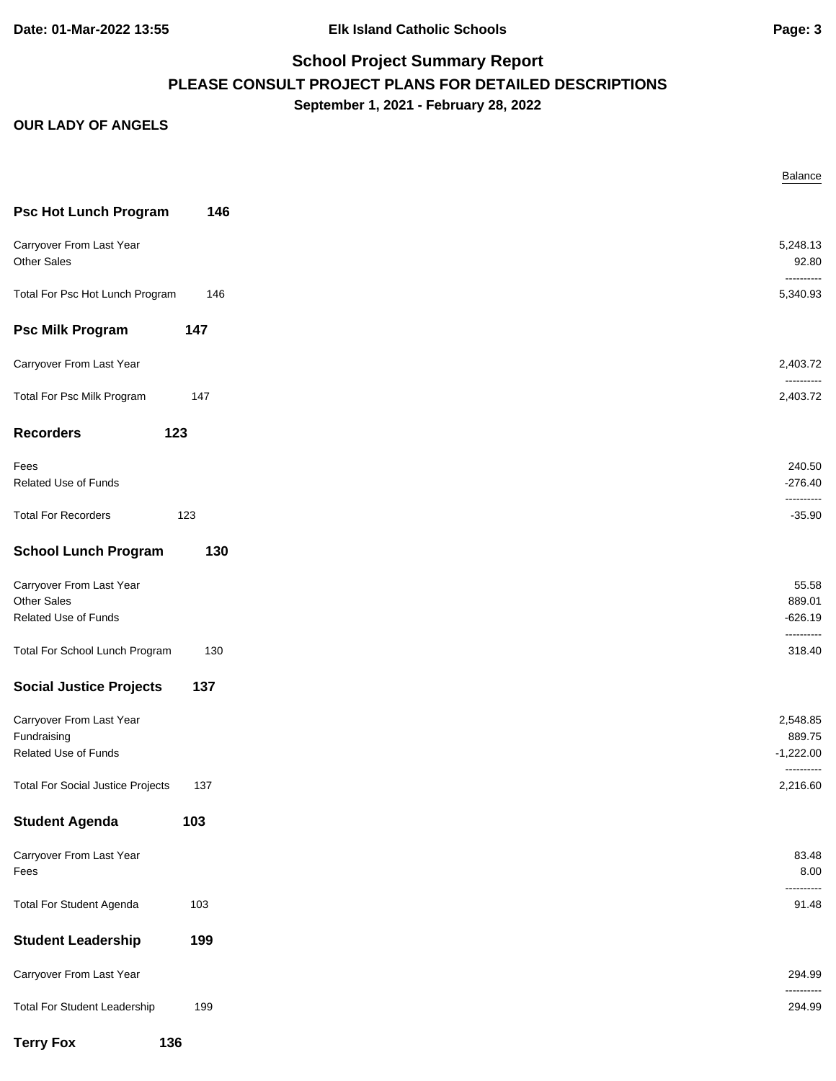|                                          |     | Balance                   |
|------------------------------------------|-----|---------------------------|
| <b>Psc Hot Lunch Program</b>             | 146 |                           |
| Carryover From Last Year                 |     | 5,248.13                  |
| Other Sales                              |     |                           |
| Total For Psc Hot Lunch Program          | 146 | ----------<br>5,340.93    |
| <b>Psc Milk Program</b>                  | 147 |                           |
| Carryover From Last Year                 |     | 2,403.72                  |
| Total For Psc Milk Program               | 147 | ----------<br>2,403.72    |
| <b>Recorders</b>                         | 123 |                           |
| Fees                                     |     | 240.50                    |
| Related Use of Funds                     |     | $-276.40$                 |
| <b>Total For Recorders</b>               | 123 | ----------                |
| <b>School Lunch Program</b>              | 130 |                           |
| Carryover From Last Year                 |     |                           |
| Other Sales                              |     | 889.01                    |
| Related Use of Funds                     |     | $-626.19$<br>----------   |
| Total For School Lunch Program           | 130 | 318.40                    |
| <b>Social Justice Projects</b>           | 137 |                           |
| Carryover From Last Year                 |     | 2,548.85                  |
| Fundraising                              |     | 889.75                    |
| Related Use of Funds                     |     | $-1,222.00$<br>---------- |
| <b>Total For Social Justice Projects</b> | 137 | 2,216.60                  |
| <b>Student Agenda</b>                    | 103 |                           |
| Carryover From Last Year                 |     |                           |
| Fees                                     |     |                           |
| <b>Total For Student Agenda</b>          | 103 |                           |
| <b>Student Leadership</b>                | 199 |                           |
| Carryover From Last Year                 |     | 294.99                    |
| <b>Total For Student Leadership</b>      | 199 | ----------<br>294.99      |
| <b>Terry Fox</b>                         | 136 |                           |